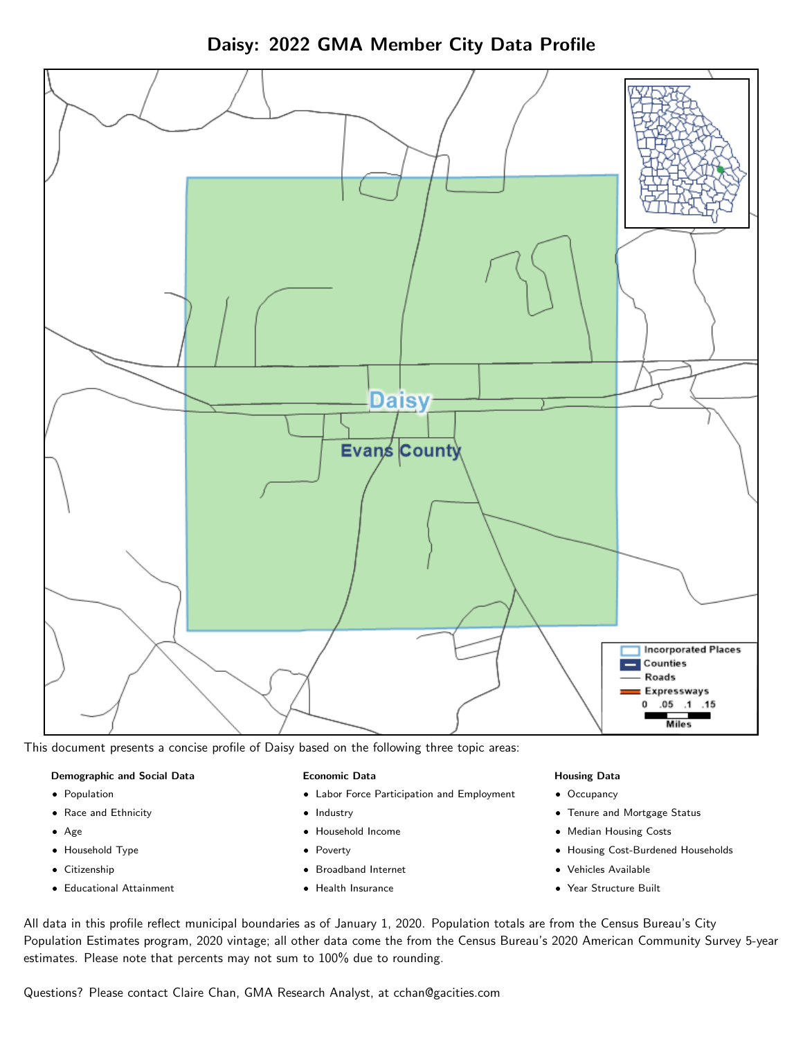

Daisy: 2022 GMA Member City Data Profile

This document presents a concise profile of Daisy based on the following three topic areas:

## Demographic and Social Data

- **•** Population
- Race and Ethnicity
- Age
- Household Type
- **Citizenship**
- Educational Attainment

### Economic Data

- Labor Force Participation and Employment
- Industry
- Household Income
- Poverty
- Broadband Internet
- Health Insurance

### Housing Data

- Occupancy
- Tenure and Mortgage Status
- Median Housing Costs
- Housing Cost-Burdened Households
- Vehicles Available
- Year Structure Built

All data in this profile reflect municipal boundaries as of January 1, 2020. Population totals are from the Census Bureau's City Population Estimates program, 2020 vintage; all other data come the from the Census Bureau's 2020 American Community Survey 5-year estimates. Please note that percents may not sum to 100% due to rounding.

Questions? Please contact Claire Chan, GMA Research Analyst, at [cchan@gacities.com.](mailto:cchan@gacities.com)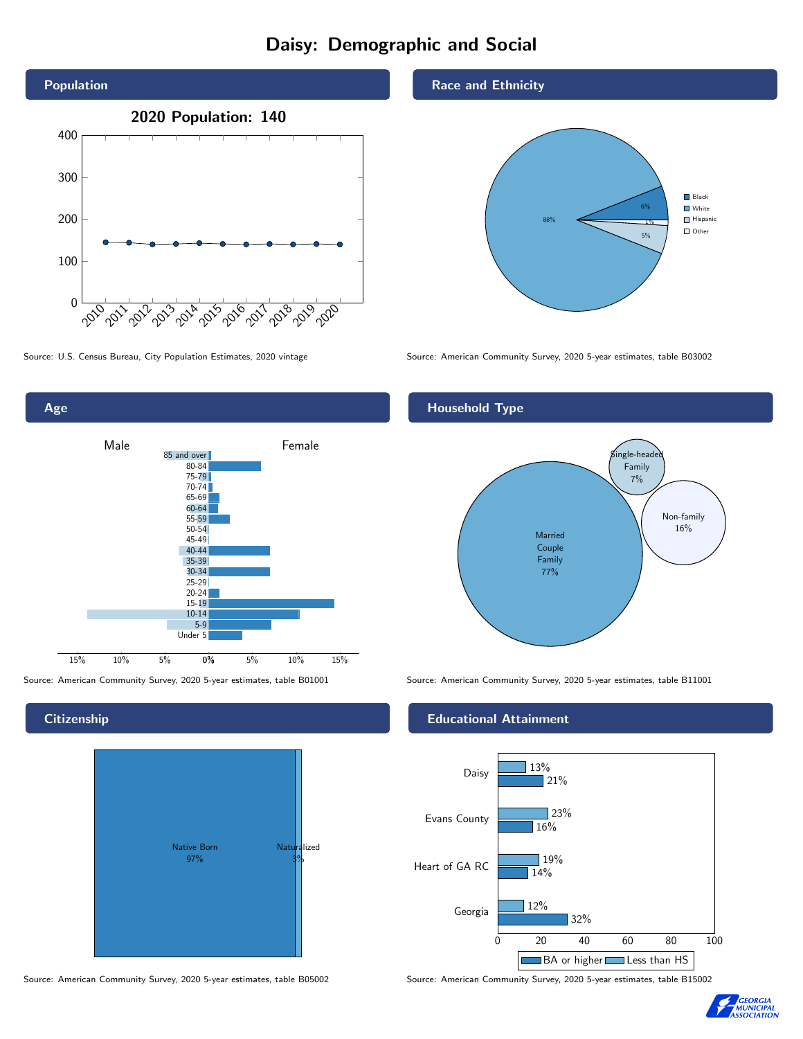# Daisy: Demographic and Social





**Citizenship** 



Source: American Community Survey, 2020 5-year estimates, table B05002 Source: American Community Survey, 2020 5-year estimates, table B15002

### Race and Ethnicity



Source: U.S. Census Bureau, City Population Estimates, 2020 vintage Source: American Community Survey, 2020 5-year estimates, table B03002

## Household Type



Source: American Community Survey, 2020 5-year estimates, table B01001 Source: American Community Survey, 2020 5-year estimates, table B11001

### Educational Attainment



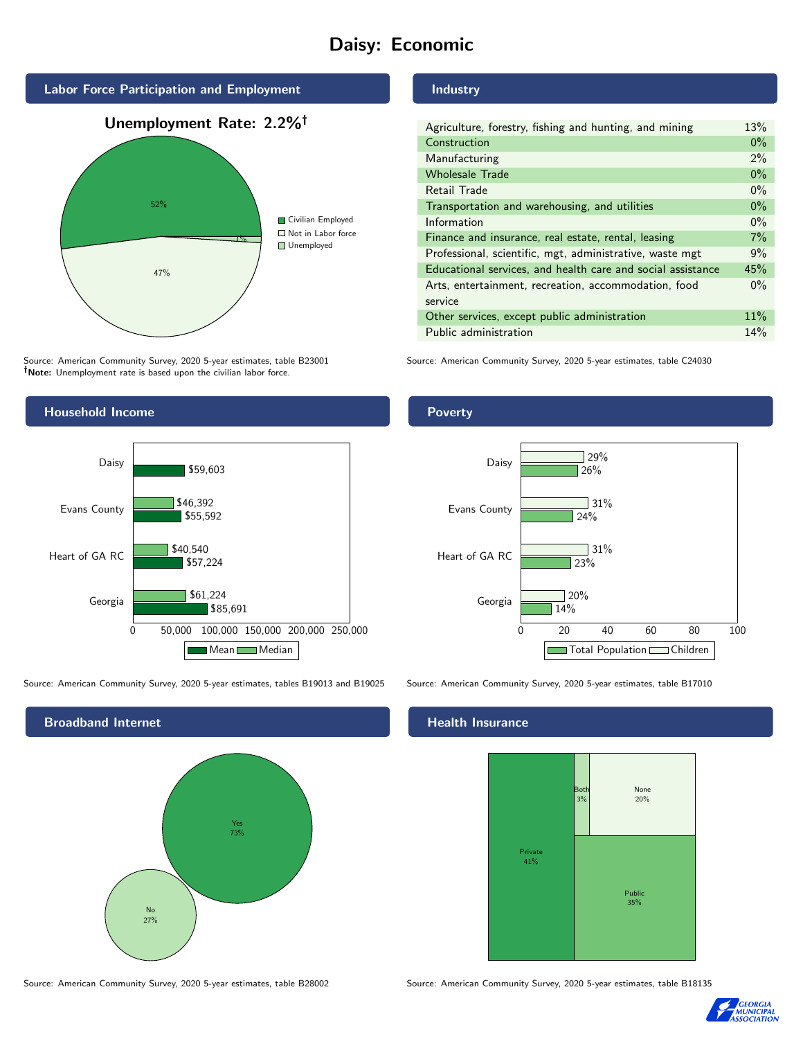# Daisy: Economic



Source: American Community Survey, 2020 5-year estimates, table B23001 Note: Unemployment rate is based upon the civilian labor force.

## Industry

| Agriculture, forestry, fishing and hunting, and mining      | 13%   |
|-------------------------------------------------------------|-------|
| Construction                                                | $0\%$ |
| Manufacturing                                               | 2%    |
| <b>Wholesale Trade</b>                                      | $0\%$ |
| Retail Trade                                                | $0\%$ |
| Transportation and warehousing, and utilities               | $0\%$ |
| Information                                                 | $0\%$ |
| Finance and insurance, real estate, rental, leasing         | 7%    |
| Professional, scientific, mgt, administrative, waste mgt    | 9%    |
| Educational services, and health care and social assistance | 45%   |
| Arts, entertainment, recreation, accommodation, food        | $0\%$ |
| service                                                     |       |
| Other services, except public administration                | 11%   |
| Public administration                                       | 14%   |

Source: American Community Survey, 2020 5-year estimates, table C24030



Source: American Community Survey, 2020 5-year estimates, tables B19013 and B19025 Source: American Community Survey, 2020 5-year estimates, table B17010

Broadband Internet No 27% Yes 73%

### Health Insurance



Source: American Community Survey, 2020 5-year estimates, table B28002 Source: American Community Survey, 2020 5-year estimates, table B18135